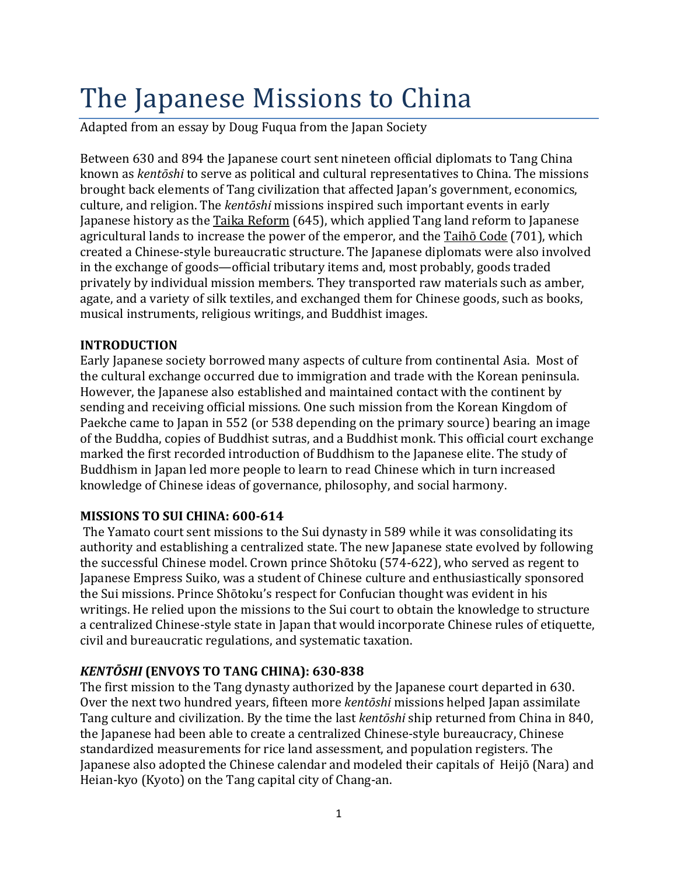# The Japanese Missions to China

Adapted from an essay by Doug Fuqua from the Japan Society

Between 630 and 894 the Japanese court sent nineteen official diplomats to Tang China known as *kentōshi* to serve as political and cultural representatives to China. The missions brought back elements of Tang civilization that affected Japan's government, economics, culture, and religion. The *kentōshi* missions inspired such important events in early Japanese history as the Taika Reform (645), which applied Tang land reform to Japanese agricultural lands to increase the power of the emperor, and the  $Taih\bar{o}$  Code (701), which created a Chinese-style bureaucratic structure. The Japanese diplomats were also involved in the exchange of goods—official tributary items and, most probably, goods traded privately by individual mission members. They transported raw materials such as amber, agate, and a variety of silk textiles, and exchanged them for Chinese goods, such as books, musical instruments, religious writings, and Buddhist images.

### **INTRODUCTION**

Early Japanese society borrowed many aspects of culture from continental Asia. Most of the cultural exchange occurred due to immigration and trade with the Korean peninsula. However, the Japanese also established and maintained contact with the continent by sending and receiving official missions. One such mission from the Korean Kingdom of Paekche came to Japan in 552 (or 538 depending on the primary source) bearing an image of the Buddha, copies of Buddhist sutras, and a Buddhist monk. This official court exchange marked the first recorded introduction of Buddhism to the Japanese elite. The study of Buddhism in Japan led more people to learn to read Chinese which in turn increased knowledge of Chinese ideas of governance, philosophy, and social harmony.

### **MISSIONS TO SUI CHINA: 600-614**

The Yamato court sent missions to the Sui dynasty in 589 while it was consolidating its authority and establishing a centralized state. The new Japanese state evolved by following the successful Chinese model. Crown prince Shōtoku (574-622), who served as regent to Japanese Empress Suiko, was a student of Chinese culture and enthusiastically sponsored the Sui missions. Prince Shōtoku's respect for Confucian thought was evident in his writings. He relied upon the missions to the Sui court to obtain the knowledge to structure a centralized Chinese-style state in Japan that would incorporate Chinese rules of etiquette, civil and bureaucratic regulations, and systematic taxation.

## *KENTŌSHI* (ENVOYS TO TANG CHINA): 630-838

The first mission to the Tang dynasty authorized by the Japanese court departed in 630. Over the next two hundred years, fifteen more *kentōshi* missions helped Japan assimilate Tang culture and civilization. By the time the last *kentōshi* ship returned from China in 840, the Japanese had been able to create a centralized Chinese-style bureaucracy, Chinese standardized measurements for rice land assessment, and population registers. The Japanese also adopted the Chinese calendar and modeled their capitals of Heijō (Nara) and Heian-kyo (Kyoto) on the Tang capital city of Chang-an.